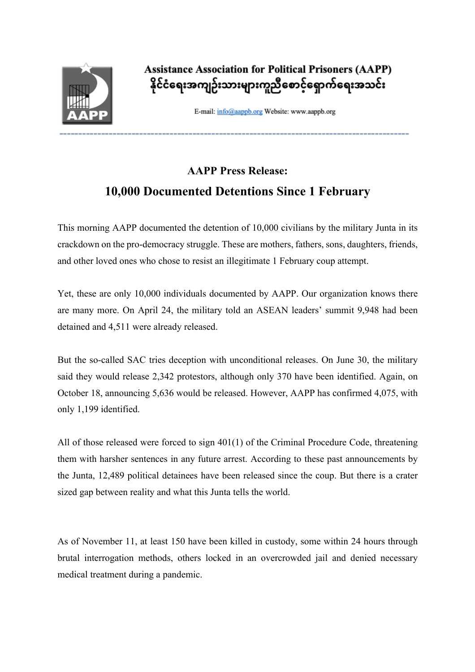

**Assistance Association for Political Prisoners (AAPP)** နိုင်ငံရေးအကျဉ်းသားများကူညီစောင့်ရှောက်ရေးအသင်း

E-mail: info@aappb.org Website: www.aappb.org

## **AAPP Press Release: 10,000 Documented Detentions Since 1 February**

This morning AAPP documented the detention of 10,000 civilians by the military Junta in its crackdown on the pro-democracy struggle. These are mothers, fathers, sons, daughters, friends, and other loved ones who chose to resist an illegitimate 1 February coup attempt.

Yet, these are only 10,000 individuals documented by AAPP. Our organization knows there are many more. On April 24, the military told an ASEAN leaders' summit 9,948 had been detained and 4,511 were already released.

But the so-called SAC tries deception with unconditional releases. On June 30, the military said they would release 2,342 protestors, although only 370 have been identified. Again, on October 18, announcing 5,636 would be released. However, AAPP has confirmed 4,075, with only 1,199 identified.

All of those released were forced to sign 401(1) of the Criminal Procedure Code, threatening them with harsher sentences in any future arrest. According to these past announcements by the Junta, 12,489 political detainees have been released since the coup. But there is a crater sized gap between reality and what this Junta tells the world.

As of November 11, at least 150 have been killed in custody, some within 24 hours through brutal interrogation methods, others locked in an overcrowded jail and denied necessary medical treatment during a pandemic.